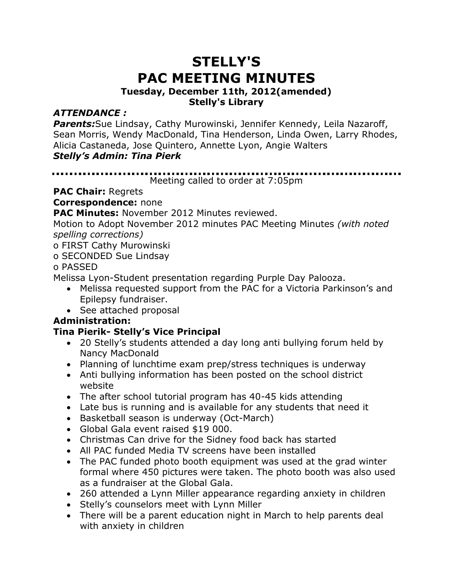# **STELLY'S PAC MEETING MINUTES**

#### **Tuesday, December 11th, 2012(amended) Stelly's Library**

## *ATTENDANCE :*

*Parents:*Sue Lindsay, Cathy Murowinski, Jennifer Kennedy, Leila Nazaroff, Sean Morris, Wendy MacDonald, Tina Henderson, Linda Owen, Larry Rhodes, Alicia Castaneda, Jose Quintero, Annette Lyon, Angie Walters *Stelly's Admin: Tina Pierk*

#### . . . . . . . . . . . . . . Meeting called to order at 7:05pm

**PAC Chair:** Regrets

**Correspondence:** none

**PAC Minutes:** November 2012 Minutes reviewed.

Motion to Adopt November 2012 minutes PAC Meeting Minutes *(with noted spelling corrections)*

o FIRST Cathy Murowinski

o SECONDED Sue Lindsay

o PASSED

Melissa Lyon-Student presentation regarding Purple Day Palooza.

- Melissa requested support from the PAC for a Victoria Parkinson's and Epilepsy fundraiser.
- See attached proposal

## **Administration:**

## **Tina Pierik- Stelly's Vice Principal**

- 20 Stelly's students attended a day long anti bullying forum held by Nancy MacDonald
- Planning of lunchtime exam prep/stress techniques is underway
- Anti bullying information has been posted on the school district website
- The after school tutorial program has 40-45 kids attending
- Late bus is running and is available for any students that need it
- Basketball season is underway (Oct-March)
- Global Gala event raised \$19 000.
- Christmas Can drive for the Sidney food back has started
- All PAC funded Media TV screens have been installed
- The PAC funded photo booth equipment was used at the grad winter formal where 450 pictures were taken. The photo booth was also used as a fundraiser at the Global Gala.
- 260 attended a Lynn Miller appearance regarding anxiety in children
- Stelly's counselors meet with Lynn Miller
- There will be a parent education night in March to help parents deal with anxiety in children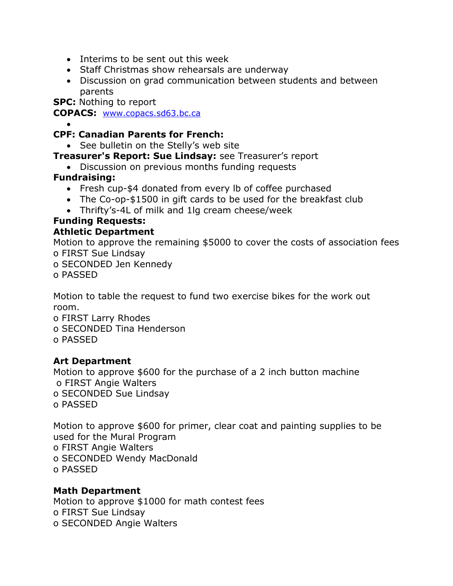- Interims to be sent out this week
- Staff Christmas show rehearsals are underway
- Discussion on grad communication between students and between parents

**SPC:** Nothing to report

**COPACS:** [www.copacs.sd63.bc.ca](http://www.copacs.sd63.bc.ca/)

#### • **CPF: Canadian Parents for French:**

• See bulletin on the Stelly's web site

**Treasurer's Report: Sue Lindsay:** see Treasurer's report

• Discussion on previous months funding requests

## **Fundraising:**

- Fresh cup-\$4 donated from every lb of coffee purchased
- The Co-op-\$1500 in gift cards to be used for the breakfast club
- Thrifty's-4L of milk and 1lg cream cheese/week

#### **Funding Requests: Athletic Department**

Motion to approve the remaining \$5000 to cover the costs of association fees o FIRST Sue Lindsay

o SECONDED Jen Kennedy

o PASSED

Motion to table the request to fund two exercise bikes for the work out room.

- o FIRST Larry Rhodes
- o SECONDED Tina Henderson
- o PASSED

## **Art Department**

Motion to approve \$600 for the purchase of a 2 inch button machine o FIRST Angie Walters o SECONDED Sue Lindsay

o PASSED

Motion to approve \$600 for primer, clear coat and painting supplies to be used for the Mural Program o FIRST Angie Walters o SECONDED Wendy MacDonald o PASSED

## **Math Department**

Motion to approve \$1000 for math contest fees o FIRST Sue Lindsay o SECONDED Angie Walters